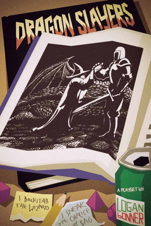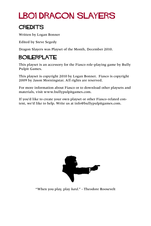### LB01 Dragon Slayers

#### **CREDITS**

Written by Logan Bonner

Edited by Steve Segedy

Dragon Slayers was Playset of the Month, December 2010.

#### BOILERPLATE

This playset is an accessory for the Fiasco role-playing game by Bully Pulpit Games.

This playset is copyright 2010 by Logan Bonner. Fiasco is copyright 2009 by Jason Morningstar. All rights are reserved.

For more information about Fiasco or to download other playsets and materials, visit www.bullypulpitgames.com.

If you'd like to create your own playset or other Fiasco-related content, we'd like to help. Write us at info@bullypulpitgames.com.



"When you play, play *hard*." - Theodore Roosevelt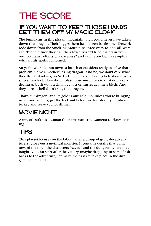### THE SCORE

#### 'If you want to keep those hands, get them off my magic cloak."

The bumpkins in this pissant mountain town could never have taken down that dragon. Their biggest hero hasn't seen battle since Drozzek rode down from the Smoking Mountains three wars-to-end-all-wars ago. That old fuck they call their town wizard fried his brain with one too many "elixirs of awareness" and can't even light a campfire with all his spells combined.

So yeah, we rode into town, a bunch of outsiders ready to solve that problem. Solve a motherfucking dragon. And no, we don't care what they think. And yes, we're fucking heroes. These yokels should worship at our feet. They didn't blast those mummies to dust or make a deathtrap built with technology lost centuries ago their bitch. And they sure as hell didn't slay that dragon.

That's our dragon, and its gold is our gold. So unless you're bringing us ale and whores, get the fuck out before we transform you into a turkey and serve you for dinner.

#### MOVIE NIGHT

Army of Darkness, Conan the Barbarian, The Gamers: Dorkness Rising

#### **TIPS**

This playset focuses on the fallout after a group of gung-ho adventurers wipes out a mythical monster. It contains details that point toward the town the characters "saved" and the dungeon where they fought. You can start after the victory (maybe dropping in some flashbacks to the adventure), or make the first act take place in the dungeon beforehand.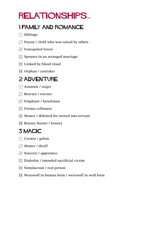## relationships...

#### 1 Family and Romance

- $\lceil \cdot \rceil$  Siblings
- $\Gamma$  Parent / child who was raised by others
- $\Gamma$  Unrequited lovers
- $\boxed{::}$  Spouses in an arranged marriage
- $\mathbb{E}$  Linked by blood ritual
- **1** Orphan / caretaker

### 2 ADVENTURE

- $\lceil \cdot \rceil$  Assassin / target
- $\Gamma$  Rescuer / rescuee
- $\overline{S}$  Employer / henchman
- **::** Former cellmates
- **5.** Master / defeated foe turned into servant
- **11 Bounty hunter / bounty**

#### 3 Magic

- $\lceil \cdot \rceil$  Creator / golem
- $\Box$  Master / thrall
- $\ddot{\cdot}$  Sorcerer / apprentice
- $\boxed{\therefore}$  Diabolist / intended sacrificial victim
- $\boxed{5}$  Simulacrum / real person
- **11** Werewolf in human form / werewolf in wolf form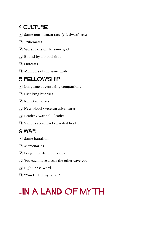#### 4 CULTURE

 $\lceil \cdot \rceil$  Same non-human race (elf, dwarf, etc.)

 $\Gamma$  Tribemates

- $\overline{3}$  Worshipers of the same god
- $\boxed{\therefore}$  Bound by a blood ritual
- $\mathbb{E}$  Outcasts
- **1**: Members of the same guild

#### 5 Fellowship

- $\lceil \cdot \rceil$  Longtime adventuring companions
- $\Gamma$  Drinking buddies
- $\Gamma$  Reluctant allies
- $\boxed{\therefore}$  New blood / veteran adventurer
- **E** Leader / wannabe leader
- **[:]** Vicious scoundrel / pacifist healer

#### 6 War

- $\lceil \cdot \rceil$  Same battalion
- $\Gamma$  Mercenaries
- $\overline{S}$  Fought for different sides
- $\boxed{::}$  You each have a scar the other gave you
- $\boxed{::}$  Fighter / coward
- **11** "You killed my father"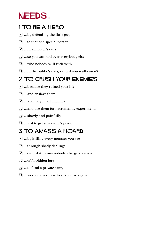### NEEDS...

#### 1 To be a Hero

- $\lceil \cdot \rceil$  ...by defending the little guy
- $\Gamma$  ...to that one special person
- $\overline{|\cdot|}$  ...in a mentor's eyes
- $\boxed{::}$  ...so you can lord over everybody else
- $\mathbb{E}$  ...who nobody will fuck with
- **11** ...in the public's eyes, even if you really aren't

#### 2 To Crush your Enemies

- $\lceil \cdot \rceil$  ...because they ruined your life
- $\Gamma$  ...and enslave them
- $\ddot{\cdot}$  ...and they're all enemies
- $\therefore$  ...and use them for necromantic experiments
- $\mathbb{E}$  ...slowly and painfully
- **11** ... just to get a moment's peace

#### 3 To Amass a Hoard

- $\lceil \cdot \rceil$  ...by killing every monster you see
- $\boxed{\cdot}$  ...through shady dealings
- $\overline{3}$  ...even if it means nobody else gets a share
- **12** ...of forbidden lore
- $\boxed{5}$  ...to fund a private army
- **11** ...so you never have to adventure again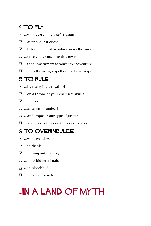### 4 To Fly

- $\lceil \cdot \rceil$  ...with everybody else's treasure
- $\boxed{\cdot}$  ...after one last quest
- $\ddot{\cdot}$  ...before they realize who you really work for
- $\boxed{\therefore}$  ...once you've used up this town
- $\mathbb{E}$  ...to follow rumors to your next adventure
- **11** ...literally, using a spell or maybe a catapult

#### 5 To Rule

- $\lceil \cdot \rceil$  ...by marrying a royal heir
- 2 ...on a throne of your enemies' skulls
- $\boxed{\cdot}$  ...forever
- $\boxed{\therefore}$  ...an army of undead
- $\mathbb{E}$  ...and impose your type of justice
- **11** ...and make others do the work for you

#### 6 To Overindulge

- $\lceil \cdot \rceil$  ...with wenches
- $\Box$  ...in drink
- $\ddot{\cdot}$  ...in rampant thievery
- $\boxed{\therefore}$  ...in forbidden rituals
- $\boxed{3}$  ...in bloodshed
- **11** ...in tavern brawls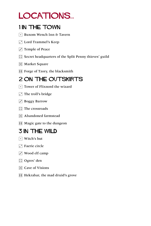### LOCATIONS...

#### 1 IN THE TOWN

- 1 Buxom Wench Inn & Tavern
- **1.** Lord Trammel's Keep
- $\boxed{\cdot}$  Temple of Peace
- **::** Secret headquarters of the Split Penny thieves' guild
- 5 Market Square
- **Forge of Tzory, the blacksmith**

#### 2 On the Outskirts

- $\lceil \cdot \rceil$  Tower of Flixnord the wizard
- $\cdot$  The troll's bridge
- $\Gamma$  Boggy Barrow
- $\boxed{\therefore}$  The crossroads
- **5** Abandoned farmstead
- **11** Magic gate to the dungeon

#### **3 IN THE WILD**

- $\lceil \cdot \rceil$  Witch's hut
- $\Gamma$  Faerie circle
- $\overline{S}$  Wood elf camp
- $\Box$  Ogres' den
- $\mathbb{E}$  Cave of Visions
- **11** Hekrabar, the mad druid's grove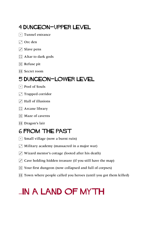#### 4 Dungeon—Upper Level

- $\lceil \cdot \rceil$  Tunnel entrance
- $\Box$  Orc den
- $\overline{S}$  Slave pens
- $\boxed{\therefore}$  Altar to dark gods
- $\mathbb{E}$  Refuse pit
- **11** Secret room

#### 5 Dungeon—Lower Level

- $\lceil \cdot \rceil$  Pool of Souls
- $\Gamma$  Trapped corridor
- $\Gamma$  Hall of illusions
- $\left| \right|$  Arcane library
- $\mathbb{E}$  Maze of caverns
- **ii** Dragon's lair

### 6 From the Past

- $\lceil \cdot \rceil$  Small village (now a burnt ruin)
- $\Gamma$  Military academy (massacred in a major war)
- $\overline{3}$  Wizard mentor's cottage (looted after his death)
- $\ddot{\cdot}$  Cave holding hidden treasure (if you still have the map)
- 5 Your first dungeon (now collapsed and full of corpses)
- **FFI** Town where people called you heroes (until you got them killed)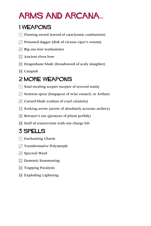### **ARMS AND ARCANA...**

#### 1 Weapons

- $\lceil \cdot \rceil$  Flaming sword (sword of cataclysmic combustion)
- $\Gamma$  Poisoned dagger (dirk of vicious viper's venom)
- $\cdot$  Big-ass iron warhammer
- $\boxed{\therefore}$  Ancient elven bow
- $\mathbb{E}$  Dragonbane blade (broadsword of scaly slaughter)
- $\overline{H}$  Catapult

### 2 More Weapons

- $\lceil \cdot \rceil$  Soul-stealing scepter (scepter of severed souls)
- $\cdot$  Sentient spear (longspear of wise council, or Arthur)
- $\cdot$  Cursed blade (cutlass of cruel calamity)
- $\therefore$  Seeking arrow (arrow of absolutely accurate archery)
- $\mathbb{E}$  Betrayer's axe (greataxe of pliant perfidy)
- **Fill Staff of resurrection with one charge left**

### 3 Spells

- $\lceil \cdot \rceil$  Enchanting Charm
- Transformative Polymorph
- $\Gamma$  Spectral Ward
- **1**: Demonic Summoning
- $\mathbb{E}$  Trapping Paralysis
- **EXploding Lightning**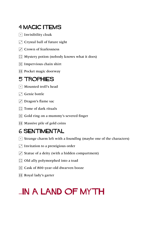#### 4 MAGIC ITEMS

- $\lceil \cdot \rceil$  Invisibility cloak
- $\Gamma$  Crystal ball of future sight
- $\cdot$  Crown of fearlessness
- $\left| \right\rangle$ : Mystery potion (nobody knows what it does)
- $\mathbb{E}$  Impervious chain shirt
- **1**: Pocket magic doorway

#### 5 Trophies

- $\lceil \cdot \rceil$  Mounted troll's head
- $\Gamma$  Genie bottle
- $\Gamma$  Dragon's flame sac
- $\boxed{\therefore}$  Tome of dark rituals
- 5 Gold ring on a mummy's severed finger
- **11** Massive pile of gold coins

#### 6 Sentimental

- $\lceil \cdot \rceil$  Strange charm left with a foundlng (maybe one of the characters)
- $\Gamma$  Invitation to a prestigious order
- $\vec{v}$  Statue of a deity (with a hidden compartment)
- $\boxed{\therefore}$  Old ally polymorphed into a toad
- 5 Cask of 800-year-old dwarven booze
- **1** Royal lady's garter